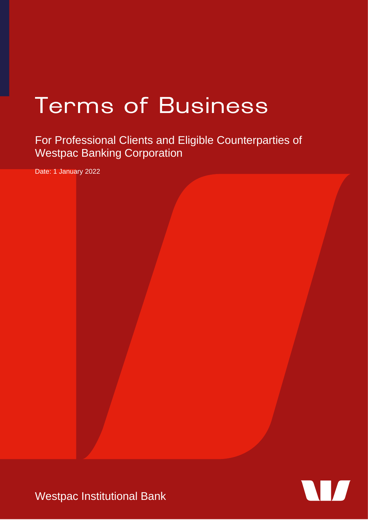# **Terms of Business**

For Professional Clients and Eligible Counterparties of Westpac Banking Corporation

Date: 1 January 2022



Westpac Institutional Bank

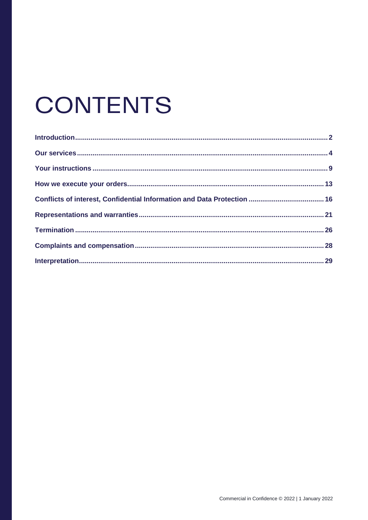# **CONTENTS**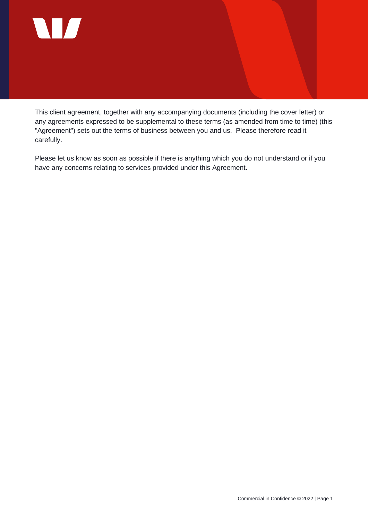

This client agreement, together with any accompanying documents (including the cover letter) or any agreements expressed to be supplemental to these terms (as amended from time to time) (this "Agreement") sets out the terms of business between you and us. Please therefore read it carefully.

Please let us know as soon as possible if there is anything which you do not understand or if you have any concerns relating to services provided under this Agreement.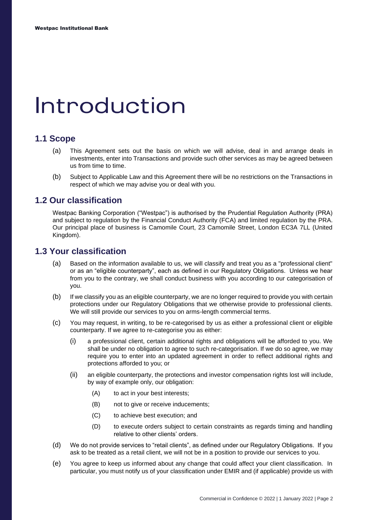### <span id="page-3-0"></span>Introduction

#### **1.1 Scope**

- (a) This Agreement sets out the basis on which we will advise, deal in and arrange deals in investments, enter into Transactions and provide such other services as may be agreed between us from time to time.
- (b) Subject to Applicable Law and this Agreement there will be no restrictions on the Transactions in respect of which we may advise you or deal with you.

#### **1.2 Our classification**

Westpac Banking Corporation ("Westpac") is authorised by the Prudential Regulation Authority (PRA) and subject to regulation by the Financial Conduct Authority (FCA) and limited regulation by the PRA. Our principal place of business is Camomile Court, 23 Camomile Street, London EC3A 7LL (United Kingdom).

#### **1.3 Your classification**

- (a) Based on the information available to us, we will classify and treat you as a "professional client" or as an "eligible counterparty", each as defined in our Regulatory Obligations. Unless we hear from you to the contrary, we shall conduct business with you according to our categorisation of you.
- (b) If we classify you as an eligible counterparty, we are no longer required to provide you with certain protections under our Regulatory Obligations that we otherwise provide to professional clients. We will still provide our services to you on arms-length commercial terms.
- (c) You may request, in writing, to be re-categorised by us as either a professional client or eligible counterparty. If we agree to re-categorise you as either:
	- (i) a professional client, certain additional rights and obligations will be afforded to you. We shall be under no obligation to agree to such re-categorisation. If we do so agree, we may require you to enter into an updated agreement in order to reflect additional rights and protections afforded to you; or
	- (ii) an eligible counterparty, the protections and investor compensation rights lost will include, by way of example only, our obligation:
		- (A) to act in your best interests;
		- (B) not to give or receive inducements;
		- (C) to achieve best execution; and
		- (D) to execute orders subject to certain constraints as regards timing and handling relative to other clients' orders.
- (d) We do not provide services to "retail clients", as defined under our Regulatory Obligations. If you ask to be treated as a retail client, we will not be in a position to provide our services to you.
- (e) You agree to keep us informed about any change that could affect your client classification. In particular, you must notify us of your classification under EMIR and (if applicable) provide us with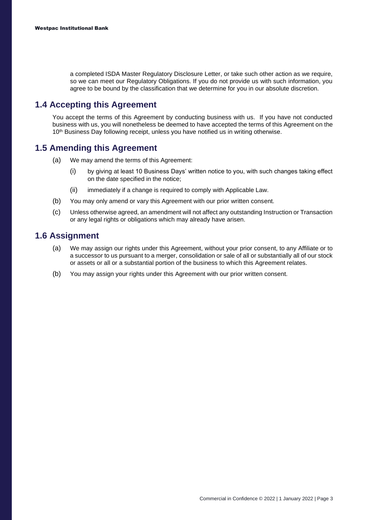a completed ISDA Master Regulatory Disclosure Letter, or take such other action as we require, so we can meet our Regulatory Obligations. If you do not provide us with such information, you agree to be bound by the classification that we determine for you in our absolute discretion.

#### **1.4 Accepting this Agreement**

You accept the terms of this Agreement by conducting business with us. If you have not conducted business with us, you will nonetheless be deemed to have accepted the terms of this Agreement on the 10<sup>th</sup> Business Day following receipt, unless you have notified us in writing otherwise.

#### **1.5 Amending this Agreement**

- (a) We may amend the terms of this Agreement:
	- (i) by giving at least 10 Business Days' written notice to you, with such changes taking effect on the date specified in the notice;
	- (ii) immediately if a change is required to comply with Applicable Law.
- (b) You may only amend or vary this Agreement with our prior written consent.
- (c) Unless otherwise agreed, an amendment will not affect any outstanding Instruction or Transaction or any legal rights or obligations which may already have arisen.

#### **1.6 Assignment**

- (a) We may assign our rights under this Agreement, without your prior consent, to any Affiliate or to a successor to us pursuant to a merger, consolidation or sale of all or substantially all of our stock or assets or all or a substantial portion of the business to which this Agreement relates.
- (b) You may assign your rights under this Agreement with our prior written consent.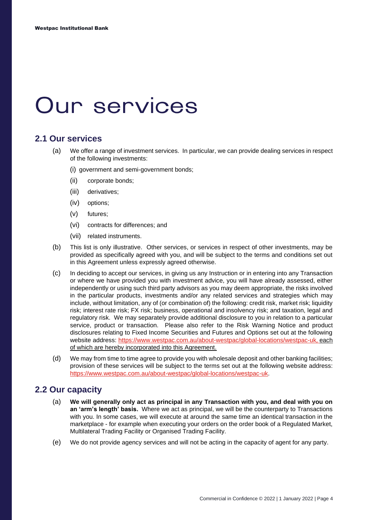### <span id="page-5-0"></span>**Our services**

#### **2.1 Our services**

- (a) We offer a range of investment services. In particular, we can provide dealing services in respect of the following investments:
	- (i) government and semi-government bonds;
	- (ii) corporate bonds;
	- (iii) derivatives;
	- (iv) options;
	- (v) futures;
	- (vi) contracts for differences; and
	- (vii) related instruments.
- (b) This list is only illustrative. Other services, or services in respect of other investments, may be provided as specifically agreed with you, and will be subject to the terms and conditions set out in this Agreement unless expressly agreed otherwise.
- (c) In deciding to accept our services, in giving us any Instruction or in entering into any Transaction or where we have provided you with investment advice, you will have already assessed, either independently or using such third party advisors as you may deem appropriate, the risks involved in the particular products, investments and/or any related services and strategies which may include, without limitation, any of (or combination of) the following: credit risk, market risk; liquidity risk; interest rate risk; FX risk; business, operational and insolvency risk; and taxation, legal and regulatory risk. We may separately provide additional disclosure to you in relation to a particular service, product or transaction. Please also refer to the Risk Warning Notice and product disclosures relating to Fixed Income Securities and Futures and Options set out at the following website address: [https://www.westpac.com.au/about-westpac/global-locations/westpac-uk](https://www.westpac.com.au/about-westpac/global-locations/westpac-uk/wel-regulatory-disclosures/), each of which are hereby incorporated into this Agreement.
- (d) We may from time to time agree to provide you with wholesale deposit and other banking facilities; provision of these services will be subject to the terms set out at the following website address: [https://www.westpac.com.au/about-westpac/global-locations/westpac-uk.](https://www.westpac.com.au/about-westpac/global-locations/westpac-uk/wel-regulatory-disclosures/)

#### **2.2 Our capacity**

- (a) **We will generally only act as principal in any Transaction with you, and deal with you on an 'arm's length' basis.** Where we act as principal, we will be the counterparty to Transactions with you. In some cases, we will execute at around the same time an identical transaction in the marketplace - for example when executing your orders on the order book of a Regulated Market, Multilateral Trading Facility or Organised Trading Facility.
- (e) We do not provide agency services and will not be acting in the capacity of agent for any party.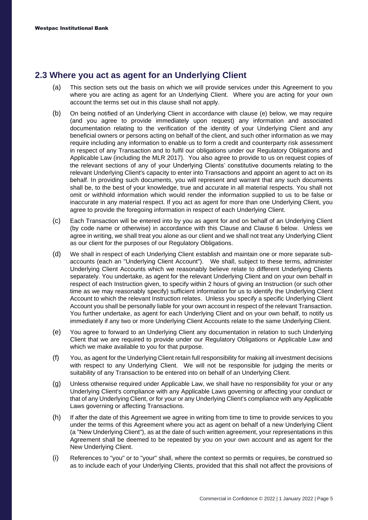#### **2.3 Where you act as agent for an Underlying Client**

- (a) This section sets out the basis on which we will provide services under this Agreement to you where you are acting as agent for an Underlying Client. Where you are acting for your own account the terms set out in this clause shall not apply.
- (b) On being notified of an Underlying Client in accordance with clause (e) below, we may require (and you agree to provide immediately upon request) any information and associated documentation relating to the verification of the identity of your Underlying Client and any beneficial owners or persons acting on behalf of the client, and such other information as we may require including any information to enable us to form a credit and counterparty risk assessment in respect of any Transaction and to fulfil our obligations under our Regulatory Obligations and Applicable Law (including the MLR 2017). You also agree to provide to us on request copies of the relevant sections of any of your Underlying Clients' constitutive documents relating to the relevant Underlying Client's capacity to enter into Transactions and appoint an agent to act on its behalf. In providing such documents, you will represent and warrant that any such documents shall be, to the best of your knowledge, true and accurate in all material respects. You shall not omit or withhold information which would render the information supplied to us to be false or inaccurate in any material respect. If you act as agent for more than one Underlying Client, you agree to provide the foregoing information in respect of each Underlying Client.
- (c) Each Transaction will be entered into by you as agent for and on behalf of an Underlying Client (by code name or otherwise) in accordance with this Clause and Clause 6 below. Unless we agree in writing, we shall treat you alone as our client and we shall not treat any Underlying Client as our client for the purposes of our Regulatory Obligations.
- (d) We shall in respect of each Underlying Client establish and maintain one or more separate subaccounts (each an "Underlying Client Account"). We shall, subject to these terms, administer Underlying Client Accounts which we reasonably believe relate to different Underlying Clients separately. You undertake, as agent for the relevant Underlying Client and on your own behalf in respect of each Instruction given, to specify within 2 hours of giving an Instruction (or such other time as we may reasonably specify) sufficient information for us to identify the Underlying Client Account to which the relevant Instruction relates. Unless you specify a specific Underlying Client Account you shall be personally liable for your own account in respect of the relevant Transaction. You further undertake, as agent for each Underlying Client and on your own behalf, to notify us immediately if any two or more Underlying Client Accounts relate to the same Underlying Client.
- (e) You agree to forward to an Underlying Client any documentation in relation to such Underlying Client that we are required to provide under our Regulatory Obligations or Applicable Law and which we make available to you for that purpose.
- (f) You, as agent for the Underlying Client retain full responsibility for making all investment decisions with respect to any Underlying Client. We will not be responsible for judging the merits or suitability of any Transaction to be entered into on behalf of an Underlying Client.
- (g) Unless otherwise required under Applicable Law, we shall have no responsibility for your or any Underlying Client's compliance with any Applicable Laws governing or affecting your conduct or that of any Underlying Client, or for your or any Underlying Client's compliance with any Applicable Laws governing or affecting Transactions.
- (h) If after the date of this Agreement we agree in writing from time to time to provide services to you under the terms of this Agreement where you act as agent on behalf of a new Underlying Client (a "New Underlying Client"), as at the date of such written agreement, your representations in this Agreement shall be deemed to be repeated by you on your own account and as agent for the New Underlying Client.
- (i) References to "you" or to "your" shall, where the context so permits or requires, be construed so as to include each of your Underlying Clients, provided that this shall not affect the provisions of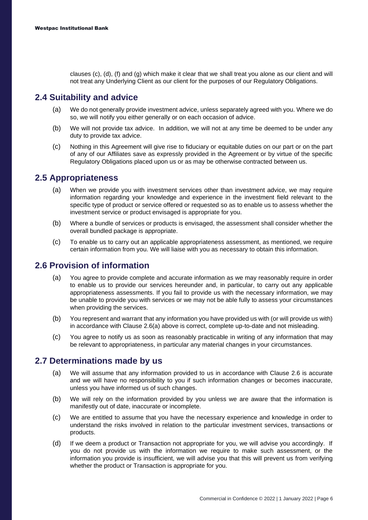clauses (c), (d), (f) and (g) which make it clear that we shall treat you alone as our client and will not treat any Underlying Client as our client for the purposes of our Regulatory Obligations.

#### **2.4 Suitability and advice**

- (a) We do not generally provide investment advice, unless separately agreed with you. Where we do so, we will notify you either generally or on each occasion of advice.
- (b) We will not provide tax advice. In addition, we will not at any time be deemed to be under any duty to provide tax advice.
- (c) Nothing in this Agreement will give rise to fiduciary or equitable duties on our part or on the part of any of our Affiliates save as expressly provided in the Agreement or by virtue of the specific Regulatory Obligations placed upon us or as may be otherwise contracted between us.

#### **2.5 Appropriateness**

- (a) When we provide you with investment services other than investment advice, we may require information regarding your knowledge and experience in the investment field relevant to the specific type of product or service offered or requested so as to enable us to assess whether the investment service or product envisaged is appropriate for you.
- (b) Where a bundle of services or products is envisaged, the assessment shall consider whether the overall bundled package is appropriate.
- (c) To enable us to carry out an applicable appropriateness assessment, as mentioned, we require certain information from you. We will liaise with you as necessary to obtain this information.

#### **2.6 Provision of information**

- (a) You agree to provide complete and accurate information as we may reasonably require in order to enable us to provide our services hereunder and, in particular, to carry out any applicable appropriateness assessments. If you fail to provide us with the necessary information, we may be unable to provide you with services or we may not be able fully to assess your circumstances when providing the services.
- (b) You represent and warrant that any information you have provided us with (or will provide us with) in accordance with Clause 2.6(a) above is correct, complete up-to-date and not misleading.
- (c) You agree to notify us as soon as reasonably practicable in writing of any information that may be relevant to appropriateness, in particular any material changes in your circumstances.

#### **2.7 Determinations made by us**

- (a) We will assume that any information provided to us in accordance with Clause 2.6 is accurate and we will have no responsibility to you if such information changes or becomes inaccurate, unless you have informed us of such changes.
- (b) We will rely on the information provided by you unless we are aware that the information is manifestly out of date, inaccurate or incomplete.
- (c) We are entitled to assume that you have the necessary experience and knowledge in order to understand the risks involved in relation to the particular investment services, transactions or products.
- (d) If we deem a product or Transaction not appropriate for you, we will advise you accordingly. If you do not provide us with the information we require to make such assessment, or the information you provide is insufficient, we will advise you that this will prevent us from verifying whether the product or Transaction is appropriate for you.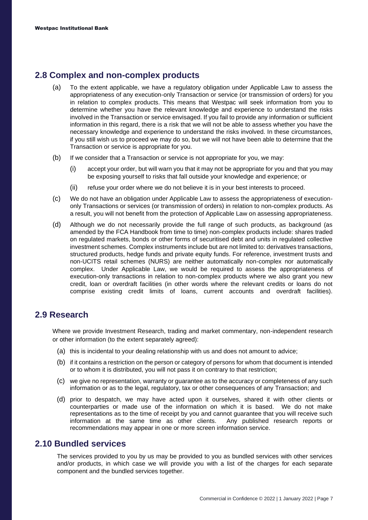#### **2.8 Complex and non-complex products**

- (a) To the extent applicable, we have a regulatory obligation under Applicable Law to assess the appropriateness of any execution-only Transaction or service (or transmission of orders) for you in relation to complex products. This means that Westpac will seek information from you to determine whether you have the relevant knowledge and experience to understand the risks involved in the Transaction or service envisaged. If you fail to provide any information or sufficient information in this regard, there is a risk that we will not be able to assess whether you have the necessary knowledge and experience to understand the risks involved. In these circumstances, if you still wish us to proceed we may do so, but we will not have been able to determine that the Transaction or service is appropriate for you.
- (b) If we consider that a Transaction or service is not appropriate for you, we may:
	- (i) accept your order, but will warn you that it may not be appropriate for you and that you may be exposing yourself to risks that fall outside your knowledge and experience; or
	- (ii) refuse your order where we do not believe it is in your best interests to proceed.
- (c) We do not have an obligation under Applicable Law to assess the appropriateness of executiononly Transactions or services (or transmission of orders) in relation to non-complex products. As a result, you will not benefit from the protection of Applicable Law on assessing appropriateness.
- (d) Although we do not necessarily provide the full range of such products, as background (as amended by the FCA Handbook from time to time) non-complex products include: shares traded on regulated markets, bonds or other forms of securitised debt and units in regulated collective investment schemes. Complex instruments include but are not limited to: derivatives transactions, structured products, hedge funds and private equity funds. For reference, investment trusts and non-UCITS retail schemes (NURS) are neither automatically non-complex nor automatically complex. Under Applicable Law, we would be required to assess the appropriateness of execution-only transactions in relation to non-complex products where we also grant you new credit, loan or overdraft facilities (in other words where the relevant credits or loans do not comprise existing credit limits of loans, current accounts and overdraft facilities).

#### **2.9 Research**

Where we provide Investment Research, trading and market commentary, non-independent research or other information (to the extent separately agreed):

- (a) this is incidental to your dealing relationship with us and does not amount to advice;
- (b) if it contains a restriction on the person or category of persons for whom that document is intended or to whom it is distributed, you will not pass it on contrary to that restriction;
- (c) we give no representation, warranty or guarantee as to the accuracy or completeness of any such information or as to the legal, regulatory, tax or other consequences of any Transaction; and
- (d) prior to despatch, we may have acted upon it ourselves, shared it with other clients or counterparties or made use of the information on which it is based. We do not make representations as to the time of receipt by you and cannot guarantee that you will receive such information at the same time as other clients. Any published research reports or recommendations may appear in one or more screen information service.

#### **2.10 Bundled services**

The services provided to you by us may be provided to you as bundled services with other services and/or products, in which case we will provide you with a list of the charges for each separate component and the bundled services together.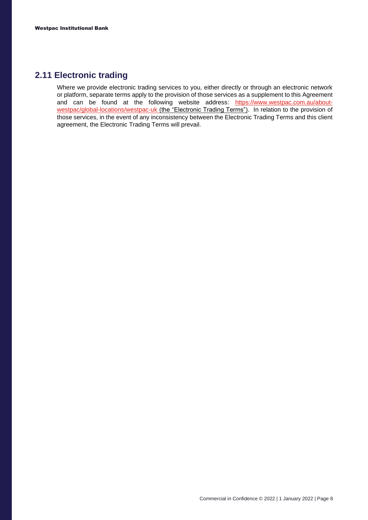#### **2.11 Electronic trading**

Where we provide electronic trading services to you, either directly or through an electronic network or platform, separate terms apply to the provision of those services as a supplement to this Agreement and can be found at the following website address: [https://www.westpac.com.au/about](https://www.westpac.com.au/about-westpac/global-locations/westpac-uk/wel-regulatory-disclosures/)[westpac/global-locations/westpac-uk](https://www.westpac.com.au/about-westpac/global-locations/westpac-uk/wel-regulatory-disclosures/) (the "Electronic Trading Terms"). In relation to the provision of those services, in the event of any inconsistency between the Electronic Trading Terms and this client agreement, the Electronic Trading Terms will prevail.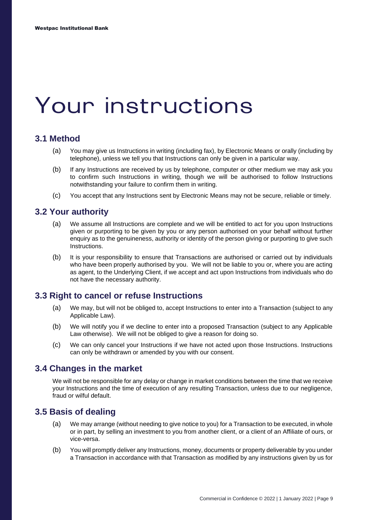### <span id="page-10-0"></span>Your instructions

#### **3.1 Method**

- (a) You may give us Instructions in writing (including fax), by Electronic Means or orally (including by telephone), unless we tell you that Instructions can only be given in a particular way.
- (b) If any Instructions are received by us by telephone, computer or other medium we may ask you to confirm such Instructions in writing, though we will be authorised to follow Instructions notwithstanding your failure to confirm them in writing.
- (c) You accept that any Instructions sent by Electronic Means may not be secure, reliable or timely.

#### **3.2 Your authority**

- (a) We assume all Instructions are complete and we will be entitled to act for you upon Instructions given or purporting to be given by you or any person authorised on your behalf without further enquiry as to the genuineness, authority or identity of the person giving or purporting to give such Instructions.
- (b) It is your responsibility to ensure that Transactions are authorised or carried out by individuals who have been properly authorised by you. We will not be liable to you or, where you are acting as agent, to the Underlying Client, if we accept and act upon Instructions from individuals who do not have the necessary authority.

#### **3.3 Right to cancel or refuse Instructions**

- (a) We may, but will not be obliged to, accept Instructions to enter into a Transaction (subject to any Applicable Law).
- (b) We will notify you if we decline to enter into a proposed Transaction (subject to any Applicable Law otherwise). We will not be obliged to give a reason for doing so.
- (c) We can only cancel your Instructions if we have not acted upon those Instructions. Instructions can only be withdrawn or amended by you with our consent.

#### **3.4 Changes in the market**

We will not be responsible for any delay or change in market conditions between the time that we receive your Instructions and the time of execution of any resulting Transaction, unless due to our negligence, fraud or wilful default.

#### **3.5 Basis of dealing**

- (a) We may arrange (without needing to give notice to you) for a Transaction to be executed, in whole or in part, by selling an investment to you from another client, or a client of an Affiliate of ours, or vice-versa.
- (b) You will promptly deliver any Instructions, money, documents or property deliverable by you under a Transaction in accordance with that Transaction as modified by any instructions given by us for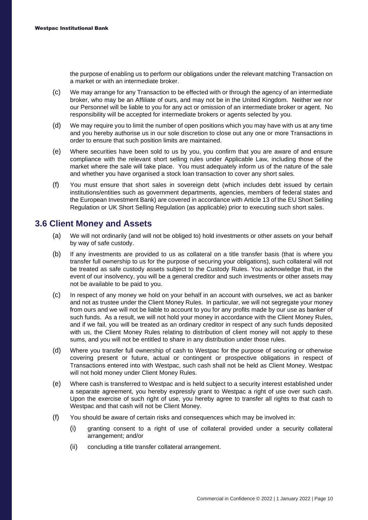the purpose of enabling us to perform our obligations under the relevant matching Transaction on a market or with an intermediate broker.

- (c) We may arrange for any Transaction to be effected with or through the agency of an intermediate broker, who may be an Affiliate of ours, and may not be in the United Kingdom. Neither we nor our Personnel will be liable to you for any act or omission of an intermediate broker or agent. No responsibility will be accepted for intermediate brokers or agents selected by you.
- (d) We may require you to limit the number of open positions which you may have with us at any time and you hereby authorise us in our sole discretion to close out any one or more Transactions in order to ensure that such position limits are maintained.
- (e) Where securities have been sold to us by you, you confirm that you are aware of and ensure compliance with the relevant short selling rules under Applicable Law, including those of the market where the sale will take place. You must adequately inform us of the nature of the sale and whether you have organised a stock loan transaction to cover any short sales.
- (f) You must ensure that short sales in sovereign debt (which includes debt issued by certain institutions/entities such as government departments, agencies, members of federal states and the European Investment Bank) are covered in accordance with Article 13 of the EU Short Selling Regulation or UK Short Selling Regulation (as applicable) prior to executing such short sales.

#### **3.6 Client Money and Assets**

- (a) We will not ordinarily (and will not be obliged to) hold investments or other assets on your behalf by way of safe custody.
- (b) If any investments are provided to us as collateral on a title transfer basis (that is where you transfer full ownership to us for the purpose of securing your obligations), such collateral will not be treated as safe custody assets subject to the Custody Rules. You acknowledge that, in the event of our insolvency, you will be a general creditor and such investments or other assets may not be available to be paid to you.
- (c) In respect of any money we hold on your behalf in an account with ourselves, we act as banker and not as trustee under the Client Money Rules. In particular, we will not segregate your money from ours and we will not be liable to account to you for any profits made by our use as banker of such funds. As a result, we will not hold your money in accordance with the Client Money Rules, and if we fail, you will be treated as an ordinary creditor in respect of any such funds deposited with us, the Client Money Rules relating to distribution of client money will not apply to these sums, and you will not be entitled to share in any distribution under those rules.
- (d) Where you transfer full ownership of cash to Westpac for the purpose of securing or otherwise covering present or future, actual or contingent or prospective obligations in respect of Transactions entered into with Westpac, such cash shall not be held as Client Money. Westpac will not hold money under Client Money Rules.
- (e) Where cash is transferred to Westpac and is held subject to a security interest established under a separate agreement, you hereby expressly grant to Westpac a right of use over such cash. Upon the exercise of such right of use, you hereby agree to transfer all rights to that cash to Westpac and that cash will not be Client Money.
- (f) You should be aware of certain risks and consequences which may be involved in:
	- (i) granting consent to a right of use of collateral provided under a security collateral arrangement; and/or
	- (ii) concluding a title transfer collateral arrangement.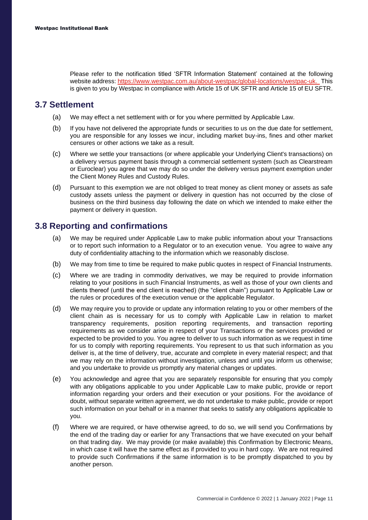Please refer to the notification titled 'SFTR Information Statement' contained at the following website address: [https://www.westpac.com.au/about-westpac/global-locations/westpac-uk](https://www.westpac.com.au/about-westpac/global-locations/westpac-uk/wel-regulatory-disclosures/). This is given to you by Westpac in compliance with Article 15 of UK SFTR and Article 15 of EU SFTR.

#### **3.7 Settlement**

- (a) We may effect a net settlement with or for you where permitted by Applicable Law.
- (b) If you have not delivered the appropriate funds or securities to us on the due date for settlement, you are responsible for any losses we incur, including market buy-ins, fines and other market censures or other actions we take as a result.
- (c) Where we settle your transactions (or where applicable your Underlying Client's transactions) on a delivery versus payment basis through a commercial settlement system (such as Clearstream or Euroclear) you agree that we may do so under the delivery versus payment exemption under the Client Money Rules and Custody Rules.
- (d) Pursuant to this exemption we are not obliged to treat money as client money or assets as safe custody assets unless the payment or delivery in question has not occurred by the close of business on the third business day following the date on which we intended to make either the payment or delivery in question.

#### **3.8 Reporting and confirmations**

- (a) We may be required under Applicable Law to make public information about your Transactions or to report such information to a Regulator or to an execution venue. You agree to waive any duty of confidentiality attaching to the information which we reasonably disclose.
- (b) We may from time to time be required to make public quotes in respect of Financial Instruments.
- (c) Where we are trading in commodity derivatives, we may be required to provide information relating to your positions in such Financial Instruments, as well as those of your own clients and clients thereof (until the end client is reached) (the "client chain") pursuant to Applicable Law or the rules or procedures of the execution venue or the applicable Regulator.
- (d) We may require you to provide or update any information relating to you or other members of the client chain as is necessary for us to comply with Applicable Law in relation to market transparency requirements, position reporting requirements, and transaction reporting requirements as we consider arise in respect of your Transactions or the services provided or expected to be provided to you. You agree to deliver to us such information as we request in time for us to comply with reporting requirements. You represent to us that such information as you deliver is, at the time of delivery, true, accurate and complete in every material respect; and that we may rely on the information without investigation, unless and until you inform us otherwise; and you undertake to provide us promptly any material changes or updates.
- (e) You acknowledge and agree that you are separately responsible for ensuring that you comply with any obligations applicable to you under Applicable Law to make public, provide or report information regarding your orders and their execution or your positions. For the avoidance of doubt, without separate written agreement, we do not undertake to make public, provide or report such information on your behalf or in a manner that seeks to satisfy any obligations applicable to you.
- (f) Where we are required, or have otherwise agreed, to do so, we will send you Confirmations by the end of the trading day or earlier for any Transactions that we have executed on your behalf on that trading day. We may provide (or make available) this Confirmation by Electronic Means, in which case it will have the same effect as if provided to you in hard copy. We are not required to provide such Confirmations if the same information is to be promptly dispatched to you by another person.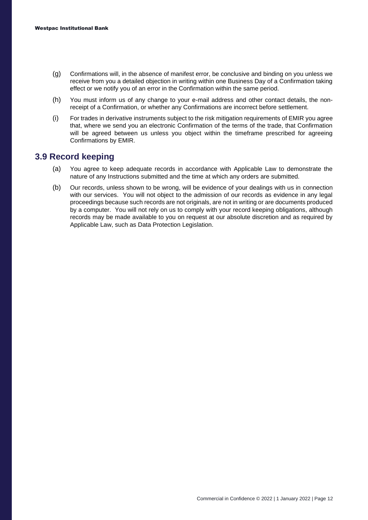- (g) Confirmations will, in the absence of manifest error, be conclusive and binding on you unless we receive from you a detailed objection in writing within one Business Day of a Confirmation taking effect or we notify you of an error in the Confirmation within the same period.
- (h) You must inform us of any change to your e-mail address and other contact details, the nonreceipt of a Confirmation, or whether any Confirmations are incorrect before settlement.
- (i) For trades in derivative instruments subject to the risk mitigation requirements of EMIR you agree that, where we send you an electronic Confirmation of the terms of the trade, that Confirmation will be agreed between us unless you object within the timeframe prescribed for agreeing Confirmations by EMIR.

#### **3.9 Record keeping**

- (a) You agree to keep adequate records in accordance with Applicable Law to demonstrate the nature of any Instructions submitted and the time at which any orders are submitted.
- (b) Our records, unless shown to be wrong, will be evidence of your dealings with us in connection with our services. You will not object to the admission of our records as evidence in any legal proceedings because such records are not originals, are not in writing or are documents produced by a computer. You will not rely on us to comply with your record keeping obligations, although records may be made available to you on request at our absolute discretion and as required by Applicable Law, such as Data Protection Legislation.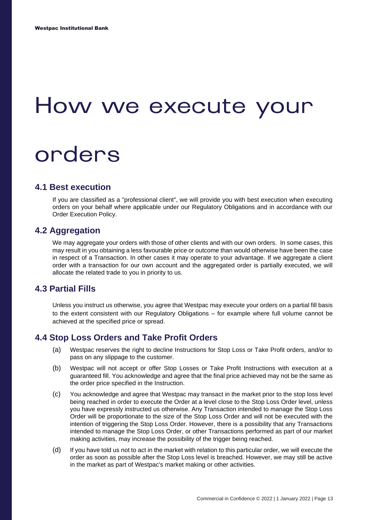### <span id="page-14-0"></span>How we execute your

### orders

#### **4.1 Best execution**

If you are classified as a "professional client", we will provide you with best execution when executing orders on your behalf where applicable under our Regulatory Obligations and in accordance with our Order Execution Policy.

#### **4.2 Aggregation**

We may aggregate your orders with those of other clients and with our own orders. In some cases, this may result in you obtaining a less favourable price or outcome than would otherwise have been the case in respect of a Transaction. In other cases it may operate to your advantage. If we aggregate a client order with a transaction for our own account and the aggregated order is partially executed, we will allocate the related trade to you in priority to us.

#### **4.3 Partial Fills**

Unless you instruct us otherwise, you agree that Westpac may execute your orders on a partial fill basis to the extent consistent with our Regulatory Obligations – for example where full volume cannot be achieved at the specified price or spread.

#### **4.4 Stop Loss Orders and Take Profit Orders**

- (a) Westpac reserves the right to decline Instructions for Stop Loss or Take Profit orders, and/or to pass on any slippage to the customer.
- (b) Westpac will not accept or offer Stop Losses or Take Profit Instructions with execution at a guaranteed fill. You acknowledge and agree that the final price achieved may not be the same as the order price specified in the Instruction.
- (c) You acknowledge and agree that Westpac may transact in the market prior to the stop loss level being reached in order to execute the Order at a level close to the Stop Loss Order level, unless you have expressly instructed us otherwise. Any Transaction intended to manage the Stop Loss Order will be proportionate to the size of the Stop Loss Order and will not be executed with the intention of triggering the Stop Loss Order. However, there is a possibility that any Transactions intended to manage the Stop Loss Order, or other Transactions performed as part of our market making activities, may increase the possibility of the trigger being reached.
- (d) If you have told us not to act in the market with relation to this particular order, we will execute the order as soon as possible after the Stop Loss level is breached. However, we may still be active in the market as part of Westpac's market making or other activities.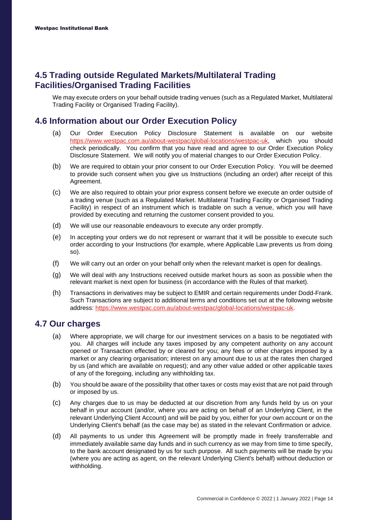#### **4.5 Trading outside Regulated Markets/Multilateral Trading Facilities/Organised Trading Facilities**

We may execute orders on your behalf outside trading venues (such as a Regulated Market, Multilateral Trading Facility or Organised Trading Facility).

#### **4.6 Information about our Order Execution Policy**

- (a) Our Order Execution Policy Disclosure Statement is available on our website [https://www.westpac.com.au/about-westpac/global-locations/westpac-uk,](https://www.westpac.com.au/about-westpac/global-locations/westpac-uk/wel-regulatory-disclosures/) which you should check periodically. You confirm that you have read and agree to our Order Execution Policy Disclosure Statement. We will notify you of material changes to our Order Execution Policy.
- (b) We are required to obtain your prior consent to our Order Execution Policy. You will be deemed to provide such consent when you give us Instructions (including an order) after receipt of this Agreement.
- (c) We are also required to obtain your prior express consent before we execute an order outside of a trading venue (such as a Regulated Market. Multilateral Trading Facility or Organised Trading Facility) in respect of an instrument which is tradable on such a venue, which you will have provided by executing and returning the customer consent provided to you.
- (d) We will use our reasonable endeavours to execute any order promptly.
- (e) In accepting your orders we do not represent or warrant that it will be possible to execute such order according to your Instructions (for example, where Applicable Law prevents us from doing so).
- (f) We will carry out an order on your behalf only when the relevant market is open for dealings.
- (g) We will deal with any Instructions received outside market hours as soon as possible when the relevant market is next open for business (in accordance with the Rules of that market).
- (h) Transactions in derivatives may be subject to EMIR and certain requirements under Dodd-Frank. Such Transactions are subject to additional terms and conditions set out at the following website address: [https://www.westpac.com.au/about-westpac/global-locations/westpac-uk.](https://www.westpac.com.au/about-westpac/global-locations/westpac-uk/wel-regulatory-disclosures/)

#### **4.7 Our charges**

- (a) Where appropriate, we will charge for our investment services on a basis to be negotiated with you. All charges will include any taxes imposed by any competent authority on any account opened or Transaction effected by or cleared for you; any fees or other charges imposed by a market or any clearing organisation; interest on any amount due to us at the rates then charged by us (and which are available on request); and any other value added or other applicable taxes of any of the foregoing, including any withholding tax.
- (b) You should be aware of the possibility that other taxes or costs may exist that are not paid through or imposed by us.
- (c) Any charges due to us may be deducted at our discretion from any funds held by us on your behalf in your account (and/or, where you are acting on behalf of an Underlying Client, in the relevant Underlying Client Account) and will be paid by you, either for your own account or on the Underlying Client's behalf (as the case may be) as stated in the relevant Confirmation or advice.
- (d) All payments to us under this Agreement will be promptly made in freely transferrable and immediately available same day funds and in such currency as we may from time to time specify, to the bank account designated by us for such purpose. All such payments will be made by you (where you are acting as agent, on the relevant Underlying Client's behalf) without deduction or withholding.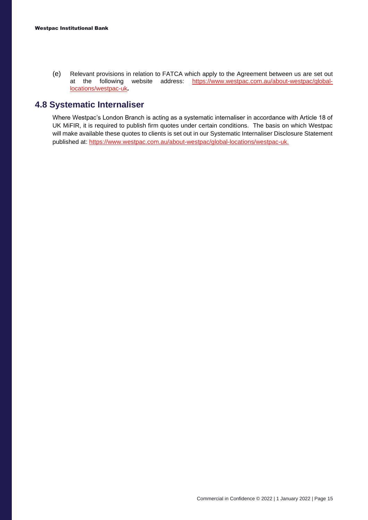(e) Relevant provisions in relation to FATCA which apply to the Agreement between us are set out at the following website address: [https://www.westpac.com.au/about-westpac/global](https://www.westpac.com.au/about-westpac/global-locations/westpac-uk/wel-regulatory-disclosures/)[locations/westpac-uk](https://www.westpac.com.au/about-westpac/global-locations/westpac-uk/wel-regulatory-disclosures/)*.*

#### **4.8 Systematic Internaliser**

Where Westpac's London Branch is acting as a systematic internaliser in accordance with Article 18 of UK MiFIR, it is required to publish firm quotes under certain conditions. The basis on which Westpac will make available these quotes to clients is set out in our Systematic Internaliser Disclosure Statement published at: [https://www.westpac.com.au/about-westpac/global-locations/westpac-uk.](https://www.westpac.com.au/about-westpac/global-locations/westpac-uk/wel-regulatory-disclosures/)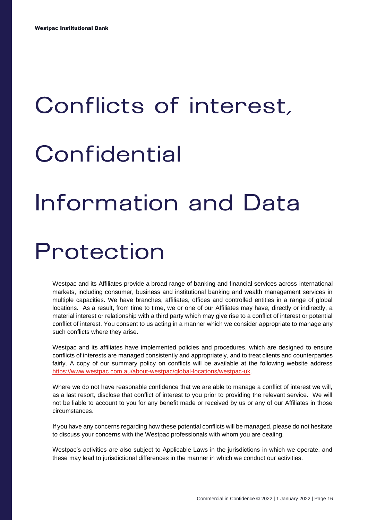# <span id="page-17-0"></span>Conflicts of interest, Confidential **Information and Data** Protection

Westpac and its Affiliates provide a broad range of banking and financial services across international markets, including consumer, business and institutional banking and wealth management services in multiple capacities. We have branches, affiliates, offices and controlled entities in a range of global locations. As a result, from time to time, we or one of our Affiliates may have, directly or indirectly, a material interest or relationship with a third party which may give rise to a conflict of interest or potential conflict of interest. You consent to us acting in a manner which we consider appropriate to manage any such conflicts where they arise.

Westpac and its affiliates have implemented policies and procedures, which are designed to ensure conflicts of interests are managed consistently and appropriately, and to treat clients and counterparties fairly. A copy of our summary policy on conflicts will be available at the following website address [https://www.westpac.com.au/about-westpac/global-locations/westpac-uk.](https://www.westpac.com.au/about-westpac/global-locations/westpac-uk/wel-regulatory-disclosures/)

Where we do not have reasonable confidence that we are able to manage a conflict of interest we will, as a last resort, disclose that conflict of interest to you prior to providing the relevant service. We will not be liable to account to you for any benefit made or received by us or any of our Affiliates in those circumstances.

If you have any concerns regarding how these potential conflicts will be managed, please do not hesitate to discuss your concerns with the Westpac professionals with whom you are dealing.

Westpac's activities are also subject to Applicable Laws in the jurisdictions in which we operate, and these may lead to jurisdictional differences in the manner in which we conduct our activities.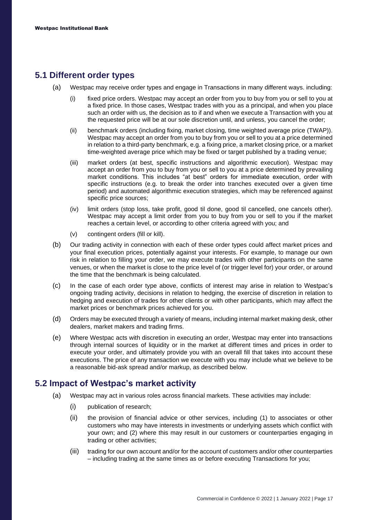#### **5.1 Different order types**

- (a) Westpac may receive order types and engage in Transactions in many different ways. including:
	- (i) fixed price orders. Westpac may accept an order from you to buy from you or sell to you at a fixed price. In those cases, Westpac trades with you as a principal, and when you place such an order with us, the decision as to if and when we execute a Transaction with you at the requested price will be at our sole discretion until, and unless, you cancel the order;
	- (ii) benchmark orders (including fixing, market closing, time weighted average price (TWAP)). Westpac may accept an order from you to buy from you or sell to you at a price determined in relation to a third-party benchmark, e.g. a fixing price, a market closing price, or a market time-weighted average price which may be fixed or target published by a trading venue;
	- (iii) market orders (at best, specific instructions and algorithmic execution). Westpac may accept an order from you to buy from you or sell to you at a price determined by prevailing market conditions. This includes "at best" orders for immediate execution, order with specific instructions (e.g. to break the order into tranches executed over a given time period) and automated algorithmic execution strategies, which may be referenced against specific price sources;
	- (iv) limit orders (stop loss, take profit, good til done, good til cancelled, one cancels other). Westpac may accept a limit order from you to buy from you or sell to you if the market reaches a certain level, or according to other criteria agreed with you; and
	- (v) contingent orders (fill or kill).
- (b) Our trading activity in connection with each of these order types could affect market prices and your final execution prices, potentially against your interests. For example, to manage our own risk in relation to filling your order, we may execute trades with other participants on the same venues, or when the market is close to the price level of (or trigger level for) your order, or around the time that the benchmark is being calculated.
- (c) In the case of each order type above, conflicts of interest may arise in relation to Westpac's ongoing trading activity, decisions in relation to hedging, the exercise of discretion in relation to hedging and execution of trades for other clients or with other participants, which may affect the market prices or benchmark prices achieved for you.
- (d) Orders may be executed through a variety of means, including internal market making desk, other dealers, market makers and trading firms.
- (e) Where Westpac acts with discretion in executing an order, Westpac may enter into transactions through internal sources of liquidity or in the market at different times and prices in order to execute your order, and ultimately provide you with an overall fill that takes into account these executions. The price of any transaction we execute with you may include what we believe to be a reasonable bid-ask spread and/or markup, as described below.

#### **5.2 Impact of Westpac's market activity**

- (a) Westpac may act in various roles across financial markets. These activities may include:
	- (i) publication of research;
	- (ii) the provision of financial advice or other services, including (1) to associates or other customers who may have interests in investments or underlying assets which conflict with your own; and (2) where this may result in our customers or counterparties engaging in trading or other activities;
	- (iii) trading for our own account and/or for the account of customers and/or other counterparties – including trading at the same times as or before executing Transactions for you;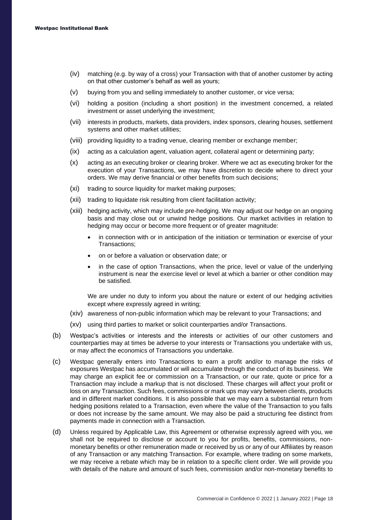- (iv) matching (e.g. by way of a cross) your Transaction with that of another customer by acting on that other customer's behalf as well as yours;
- (v) buying from you and selling immediately to another customer, or vice versa;
- (vi) holding a position (including a short position) in the investment concerned, a related investment or asset underlying the investment;
- (vii) interests in products, markets, data providers, index sponsors, clearing houses, settlement systems and other market utilities;
- (viii) providing liquidity to a trading venue, clearing member or exchange member;
- (ix) acting as a calculation agent, valuation agent, collateral agent or determining party;
- (x) acting as an executing broker or clearing broker. Where we act as executing broker for the execution of your Transactions, we may have discretion to decide where to direct your orders. We may derive financial or other benefits from such decisions;
- (xi) trading to source liquidity for market making purposes;
- (xii) trading to liquidate risk resulting from client facilitation activity;
- (xiii) hedging activity, which may include pre-hedging. We may adjust our hedge on an ongoing basis and may close out or unwind hedge positions. Our market activities in relation to hedging may occur or become more frequent or of greater magnitude:
	- in connection with or in anticipation of the initiation or termination or exercise of your Transactions;
	- on or before a valuation or observation date; or
	- in the case of option Transactions, when the price, level or value of the underlying instrument is near the exercise level or level at which a barrier or other condition may be satisfied.

We are under no duty to inform you about the nature or extent of our hedging activities except where expressly agreed in writing;

- (xiv) awareness of non-public information which may be relevant to your Transactions; and
- (xv) using third parties to market or solicit counterparties and/or Transactions.
- (b) Westpac's activities or interests and the interests or activities of our other customers and counterparties may at times be adverse to your interests or Transactions you undertake with us, or may affect the economics of Transactions you undertake.
- (c) Westpac generally enters into Transactions to earn a profit and/or to manage the risks of exposures Westpac has accumulated or will accumulate through the conduct of its business. We may charge an explicit fee or commission on a Transaction, or our rate, quote or price for a Transaction may include a markup that is not disclosed. These charges will affect your profit or loss on any Transaction. Such fees, commissions or mark ups may vary between clients, products and in different market conditions. It is also possible that we may earn a substantial return from hedging positions related to a Transaction, even where the value of the Transaction to you falls or does not increase by the same amount. We may also be paid a structuring fee distinct from payments made in connection with a Transaction.
- (d) Unless required by Applicable Law, this Agreement or otherwise expressly agreed with you, we shall not be required to disclose or account to you for profits, benefits, commissions, nonmonetary benefits or other remuneration made or received by us or any of our Affiliates by reason of any Transaction or any matching Transaction. For example, where trading on some markets, we may receive a rebate which may be in relation to a specific client order. We will provide you with details of the nature and amount of such fees, commission and/or non-monetary benefits to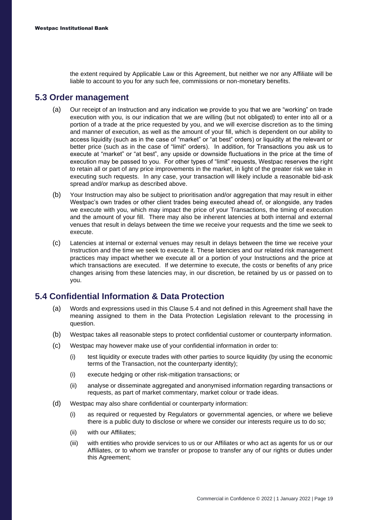the extent required by Applicable Law or this Agreement, but neither we nor any Affiliate will be liable to account to you for any such fee, commissions or non-monetary benefits.

#### **5.3 Order management**

- (a) Our receipt of an Instruction and any indication we provide to you that we are "working" on trade execution with you, is our indication that we are willing (but not obligated) to enter into all or a portion of a trade at the price requested by you, and we will exercise discretion as to the timing and manner of execution, as well as the amount of your fill, which is dependent on our ability to access liquidity (such as in the case of "market" or "at best" orders) or liquidity at the relevant or better price (such as in the case of "limit" orders). In addition, for Transactions you ask us to execute at "market" or "at best", any upside or downside fluctuations in the price at the time of execution may be passed to you. For other types of "limit" requests, Westpac reserves the right to retain all or part of any price improvements in the market, in light of the greater risk we take in executing such requests. In any case, your transaction will likely include a reasonable bid-ask spread and/or markup as described above.
- (b) Your Instruction may also be subject to prioritisation and/or aggregation that may result in either Westpac's own trades or other client trades being executed ahead of, or alongside, any trades we execute with you, which may impact the price of your Transactions, the timing of execution and the amount of your fill. There may also be inherent latencies at both internal and external venues that result in delays between the time we receive your requests and the time we seek to execute.
- (c) Latencies at internal or external venues may result in delays between the time we receive your Instruction and the time we seek to execute it. These latencies and our related risk management practices may impact whether we execute all or a portion of your Instructions and the price at which transactions are executed. If we determine to execute, the costs or benefits of any price changes arising from these latencies may, in our discretion, be retained by us or passed on to you.

#### **5.4 Confidential Information & Data Protection**

- (a) Words and expressions used in this Clause 5.4 and not defined in this Agreement shall have the meaning assigned to them in the Data Protection Legislation relevant to the processing in question.
- (b) Westpac takes all reasonable steps to protect confidential customer or counterparty information.
- (c) Westpac may however make use of your confidential information in order to:
	- (i) test liquidity or execute trades with other parties to source liquidity (by using the economic terms of the Transaction, not the counterparty identity);
	- (i) execute hedging or other risk-mitigation transactions; or
	- (ii) analyse or disseminate aggregated and anonymised information regarding transactions or requests, as part of market commentary, market colour or trade ideas.
- (d) Westpac may also share confidential or counterparty information:
	- (i) as required or requested by Regulators or governmental agencies, or where we believe there is a public duty to disclose or where we consider our interests require us to do so;
	- (ii) with our Affiliates;
	- (iii) with entities who provide services to us or our Affiliates or who act as agents for us or our Affiliates, or to whom we transfer or propose to transfer any of our rights or duties under this Agreement;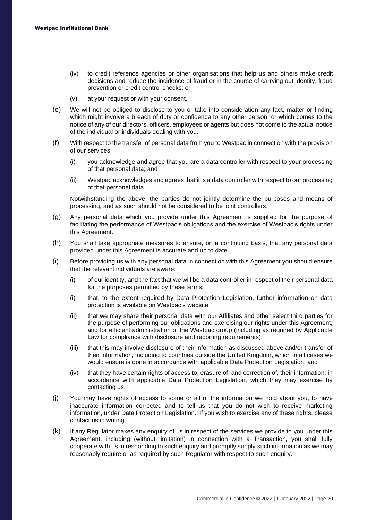- (iv) to credit reference agencies or other organisations that help us and others make credit decisions and reduce the incidence of fraud or in the course of carrying out identity, fraud prevention or credit control checks; or
- (v) at your request or with your consent.
- (e) We will not be obliged to disclose to you or take into consideration any fact, matter or finding which might involve a breach of duty or confidence to any other person, or which comes to the notice of any of our directors, officers, employees or agents but does not come to the actual notice of the individual or individuals dealing with you.
- (f) With respect to the transfer of personal data from you to Westpac in connection with the provision of our services:
	- (i) you acknowledge and agree that you are a data controller with respect to your processing of that personal data; and
	- (ii) Westpac acknowledges and agrees that it is a data controller with respect to our processing of that personal data.

Notwithstanding the above, the parties do not jointly determine the purposes and means of processing, and as such should not be considered to be joint controllers.

- (g) Any personal data which you provide under this Agreement is supplied for the purpose of facilitating the performance of Westpac's obligations and the exercise of Westpac's rights under this Agreement.
- (h) You shall take appropriate measures to ensure, on a continuing basis, that any personal data provided under this Agreement is accurate and up to date.
- (i) Before providing us with any personal data in connection with this Agreement you should ensure that the relevant individuals are aware:
	- (i) of our identity, and the fact that we will be a data controller in respect of their personal data for the purposes permitted by these terms;
	- (i) that, to the extent required by Data Protection Legislation, further information on data protection is available on Westpac's website;
	- (ii) that we may share their personal data with our Affiliates and other select third parties for the purpose of performing our obligations and exercising our rights under this Agreement, and for efficient administration of the Westpac group (including as required by Applicable Law for compliance with disclosure and reporting requirements);
	- (iii) that this may involve disclosure of their information as discussed above and/or transfer of their information, including to countries outside the United Kingdom, which in all cases we would ensure is done in accordance with applicable Data Protection Legislation; and
	- (iv) that they have certain rights of access to, erasure of, and correction of, their information, in accordance with applicable Data Protection Legislation, which they may exercise by contacting us.
- (j) You may have rights of access to some or all of the information we hold about you, to have inaccurate information corrected and to tell us that you do not wish to receive marketing information, under Data Protection Legislation. If you wish to exercise any of these rights, please contact us in writing.
- (k) If any Regulator makes any enquiry of us in respect of the services we provide to you under this Agreement, including (without limitation) in connection with a Transaction, you shall fully cooperate with us in responding to such enquiry and promptly supply such information as we may reasonably require or as required by such Regulator with respect to such enquiry.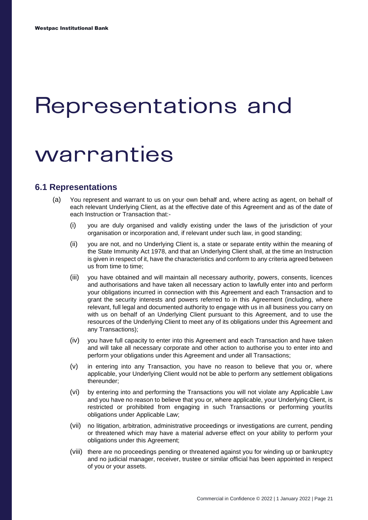### <span id="page-22-0"></span>Representations and

### warranties

#### **6.1 Representations**

- (a) You represent and warrant to us on your own behalf and, where acting as agent, on behalf of each relevant Underlying Client, as at the effective date of this Agreement and as of the date of each Instruction or Transaction that:-
	- (i) you are duly organised and validly existing under the laws of the jurisdiction of your organisation or incorporation and, if relevant under such law, in good standing;
	- (ii) you are not, and no Underlying Client is, a state or separate entity within the meaning of the State Immunity Act 1978, and that an Underlying Client shall, at the time an Instruction is given in respect of it, have the characteristics and conform to any criteria agreed between us from time to time;
	- (iii) you have obtained and will maintain all necessary authority, powers, consents, licences and authorisations and have taken all necessary action to lawfully enter into and perform your obligations incurred in connection with this Agreement and each Transaction and to grant the security interests and powers referred to in this Agreement (including, where relevant, full legal and documented authority to engage with us in all business you carry on with us on behalf of an Underlying Client pursuant to this Agreement, and to use the resources of the Underlying Client to meet any of its obligations under this Agreement and any Transactions);
	- (iv) you have full capacity to enter into this Agreement and each Transaction and have taken and will take all necessary corporate and other action to authorise you to enter into and perform your obligations under this Agreement and under all Transactions;
	- (v) in entering into any Transaction, you have no reason to believe that you or, where applicable, your Underlying Client would not be able to perform any settlement obligations thereunder;
	- (vi) by entering into and performing the Transactions you will not violate any Applicable Law and you have no reason to believe that you or, where applicable, your Underlying Client, is restricted or prohibited from engaging in such Transactions or performing your/its obligations under Applicable Law;
	- (vii) no litigation, arbitration, administrative proceedings or investigations are current, pending or threatened which may have a material adverse effect on your ability to perform your obligations under this Agreement;
	- (viii) there are no proceedings pending or threatened against you for winding up or bankruptcy and no judicial manager, receiver, trustee or similar official has been appointed in respect of you or your assets.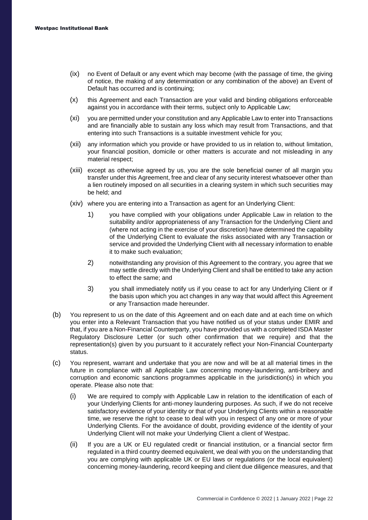- (ix) no Event of Default or any event which may become (with the passage of time, the giving of notice, the making of any determination or any combination of the above) an Event of Default has occurred and is continuing;
- (x) this Agreement and each Transaction are your valid and binding obligations enforceable against you in accordance with their terms, subject only to Applicable Law;
- (xi) you are permitted under your constitution and any Applicable Law to enter into Transactions and are financially able to sustain any loss which may result from Transactions, and that entering into such Transactions is a suitable investment vehicle for you;
- (xii) any information which you provide or have provided to us in relation to, without limitation, your financial position, domicile or other matters is accurate and not misleading in any material respect;
- (xiii) except as otherwise agreed by us, you are the sole beneficial owner of all margin you transfer under this Agreement, free and clear of any security interest whatsoever other than a lien routinely imposed on all securities in a clearing system in which such securities may be held; and
- (xiv) where you are entering into a Transaction as agent for an Underlying Client:
	- 1) you have complied with your obligations under Applicable Law in relation to the suitability and/or appropriateness of any Transaction for the Underlying Client and (where not acting in the exercise of your discretion) have determined the capability of the Underlying Client to evaluate the risks associated with any Transaction or service and provided the Underlying Client with all necessary information to enable it to make such evaluation;
	- 2) notwithstanding any provision of this Agreement to the contrary, you agree that we may settle directly with the Underlying Client and shall be entitled to take any action to effect the same; and
	- 3) you shall immediately notify us if you cease to act for any Underlying Client or if the basis upon which you act changes in any way that would affect this Agreement or any Transaction made hereunder.
- (b) You represent to us on the date of this Agreement and on each date and at each time on which you enter into a Relevant Transaction that you have notified us of your status under EMIR and that, if you are a Non-Financial Counterparty, you have provided us with a completed ISDA Master Regulatory Disclosure Letter (or such other confirmation that we require) and that the representation(s) given by you pursuant to it accurately reflect your Non-Financial Counterparty status.
- (c) You represent, warrant and undertake that you are now and will be at all material times in the future in compliance with all Applicable Law concerning money-laundering, anti-bribery and corruption and economic sanctions programmes applicable in the jurisdiction(s) in which you operate. Please also note that:
	- (i) We are required to comply with Applicable Law in relation to the identification of each of your Underlying Clients for anti-money laundering purposes. As such, if we do not receive satisfactory evidence of your identity or that of your Underlying Clients within a reasonable time, we reserve the right to cease to deal with you in respect of any one or more of your Underlying Clients. For the avoidance of doubt, providing evidence of the identity of your Underlying Client will not make your Underlying Client a client of Westpac.
	- (ii) If you are a UK or EU regulated credit or financial institution, or a financial sector firm regulated in a third country deemed equivalent, we deal with you on the understanding that you are complying with applicable UK or EU laws or regulations (or the local equivalent) concerning money-laundering, record keeping and client due diligence measures, and that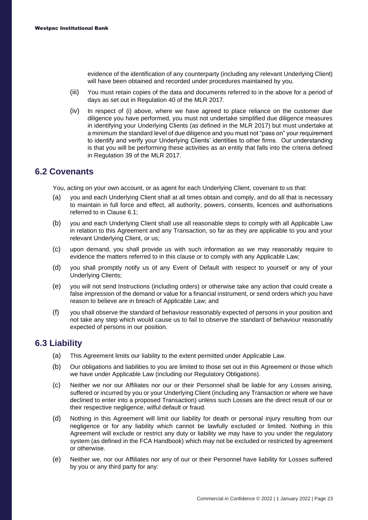evidence of the identification of any counterparty (including any relevant Underlying Client) will have been obtained and recorded under procedures maintained by you.

- (iii) You must retain copies of the data and documents referred to in the above for a period of days as set out in Regulation 40 of the MLR 2017.
- (iv) In respect of (i) above, where we have agreed to place reliance on the customer due diligence you have performed, you must not undertake simplified due diligence measures in identifying your Underlying Clients (as defined in the MLR 2017) but must undertake at a minimum the standard level of due diligence and you must not "pass on" your requirement to identify and verify your Underlying Clients' identities to other firms. Our understanding is that you will be performing these activities as an entity that falls into the criteria defined in Regulation 39 of the MLR 2017.

#### **6.2 Covenants**

You, acting on your own account, or as agent for each Underlying Client, covenant to us that:

- (a) you and each Underlying Client shall at all times obtain and comply, and do all that is necessary to maintain in full force and effect, all authority, powers, consents, licences and authorisations referred to in Clause 6.1;
- (b) you and each Underlying Client shall use all reasonable steps to comply with all Applicable Law in relation to this Agreement and any Transaction, so far as they are applicable to you and your relevant Underlying Client, or us;
- (c) upon demand, you shall provide us with such information as we may reasonably require to evidence the matters referred to in this clause or to comply with any Applicable Law;
- (d) you shall promptly notify us of any Event of Default with respect to yourself or any of your Underlying Clients;
- (e) you will not send Instructions (including orders) or otherwise take any action that could create a false impression of the demand or value for a financial instrument, or send orders which you have reason to believe are in breach of Applicable Law; and
- (f) you shall observe the standard of behaviour reasonably expected of persons in your position and not take any step which would cause us to fail to observe the standard of behaviour reasonably expected of persons in our position.

#### **6.3 Liability**

- (a) This Agreement limits our liability to the extent permitted under Applicable Law.
- (b) Our obligations and liabilities to you are limited to those set out in this Agreement or those which we have under Applicable Law (including our Regulatory Obligations).
- (c) Neither we nor our Affiliates nor our or their Personnel shall be liable for any Losses arising, suffered or incurred by you or your Underlying Client (including any Transaction or where we have declined to enter into a proposed Transaction) unless such Losses are the direct result of our or their respective negligence, wilful default or fraud.
- (d) Nothing in this Agreement will limit our liability for death or personal injury resulting from our negligence or for any liability which cannot be lawfully excluded or limited. Nothing in this Agreement will exclude or restrict any duty or liability we may have to you under the regulatory system (as defined in the FCA Handbook) which may not be excluded or restricted by agreement or otherwise.
- (e) Neither we, nor our Affiliates nor any of our or their Personnel have liability for Losses suffered by you or any third party for any: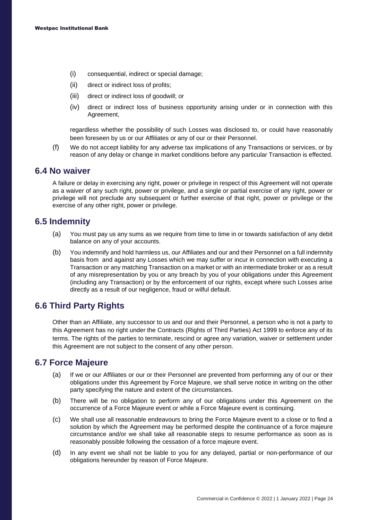- (i) consequential, indirect or special damage;
- (ii) direct or indirect loss of profits;
- (iii) direct or indirect loss of goodwill; or
- (iv) direct or indirect loss of business opportunity arising under or in connection with this Agreement,

regardless whether the possibility of such Losses was disclosed to, or could have reasonably been foreseen by us or our Affiliates or any of our or their Personnel.

(f) We do not accept liability for any adverse tax implications of any Transactions or services, or by reason of any delay or change in market conditions before any particular Transaction is effected.

#### **6.4 No waiver**

A failure or delay in exercising any right, power or privilege in respect of this Agreement will not operate as a waiver of any such right, power or privilege, and a single or partial exercise of any right, power or privilege will not preclude any subsequent or further exercise of that right, power or privilege or the exercise of any other right, power or privilege.

#### **6.5 Indemnity**

- (a) You must pay us any sums as we require from time to time in or towards satisfaction of any debit balance on any of your accounts.
- (b) You indemnify and hold harmless us, our Affiliates and our and their Personnel on a full indemnity basis from and against any Losses which we may suffer or incur in connection with executing a Transaction or any matching Transaction on a market or with an intermediate broker or as a result of any misrepresentation by you or any breach by you of your obligations under this Agreement (including any Transaction) or by the enforcement of our rights, except where such Losses arise directly as a result of our negligence, fraud or wilful default.

#### **6.6 Third Party Rights**

Other than an Affiliate, any successor to us and our and their Personnel, a person who is not a party to this Agreement has no right under the Contracts (Rights of Third Parties) Act 1999 to enforce any of its terms. The rights of the parties to terminate, rescind or agree any variation, waiver or settlement under this Agreement are not subject to the consent of any other person.

#### **6.7 Force Majeure**

- (a) If we or our Affiliates or our or their Personnel are prevented from performing any of our or their obligations under this Agreement by Force Majeure, we shall serve notice in writing on the other party specifying the nature and extent of the circumstances.
- (b) There will be no obligation to perform any of our obligations under this Agreement on the occurrence of a Force Majeure event or while a Force Majeure event is continuing.
- (c) We shall use all reasonable endeavours to bring the Force Majeure event to a close or to find a solution by which the Agreement may be performed despite the continuance of a force majeure circumstance and/or we shall take all reasonable steps to resume performance as soon as is reasonably possible following the cessation of a force majeure event.
- (d) In any event we shall not be liable to you for any delayed, partial or non-performance of our obligations hereunder by reason of Force Majeure.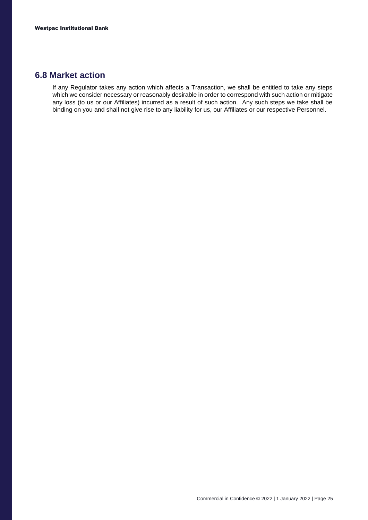#### **6.8 Market action**

If any Regulator takes any action which affects a Transaction, we shall be entitled to take any steps which we consider necessary or reasonably desirable in order to correspond with such action or mitigate any loss (to us or our Affiliates) incurred as a result of such action. Any such steps we take shall be binding on you and shall not give rise to any liability for us, our Affiliates or our respective Personnel.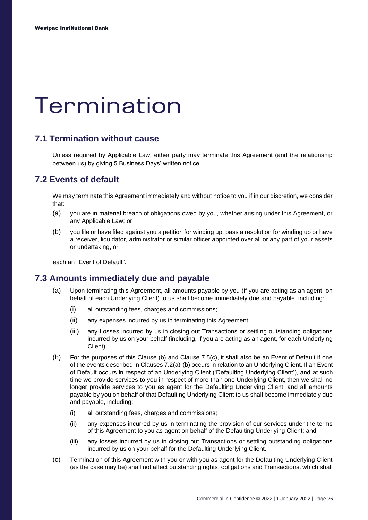### <span id="page-27-0"></span>Termination

#### **7.1 Termination without cause**

Unless required by Applicable Law, either party may terminate this Agreement (and the relationship between us) by giving 5 Business Days' written notice.

#### **7.2 Events of default**

We may terminate this Agreement immediately and without notice to you if in our discretion, we consider that:

- (a) you are in material breach of obligations owed by you, whether arising under this Agreement, or any Applicable Law; or
- (b) you file or have filed against you a petition for winding up, pass a resolution for winding up or have a receiver, liquidator, administrator or similar officer appointed over all or any part of your assets or undertaking, or

each an "Event of Default".

#### **7.3 Amounts immediately due and payable**

- (a) Upon terminating this Agreement, all amounts payable by you (if you are acting as an agent, on behalf of each Underlying Client) to us shall become immediately due and payable, including:
	- (i) all outstanding fees, charges and commissions;
	- (ii) any expenses incurred by us in terminating this Agreement;
	- (iii) any Losses incurred by us in closing out Transactions or settling outstanding obligations incurred by us on your behalf (including, if you are acting as an agent, for each Underlying Client).
- (b) For the purposes of this Clause (b) and Clause 7.5(c), it shall also be an Event of Default if one of the events described in Clauses 7.2(a)-(b) occurs in relation to an Underlying Client. If an Event of Default occurs in respect of an Underlying Client ('Defaulting Underlying Client'), and at such time we provide services to you in respect of more than one Underlying Client, then we shall no longer provide services to you as agent for the Defaulting Underlying Client, and all amounts payable by you on behalf of that Defaulting Underlying Client to us shall become immediately due and payable, including:
	- (i) all outstanding fees, charges and commissions;
	- (ii) any expenses incurred by us in terminating the provision of our services under the terms of this Agreement to you as agent on behalf of the Defaulting Underlying Client; and
	- (iii) any losses incurred by us in closing out Transactions or settling outstanding obligations incurred by us on your behalf for the Defaulting Underlying Client.
- (c) Termination of this Agreement with you or with you as agent for the Defaulting Underlying Client (as the case may be) shall not affect outstanding rights, obligations and Transactions, which shall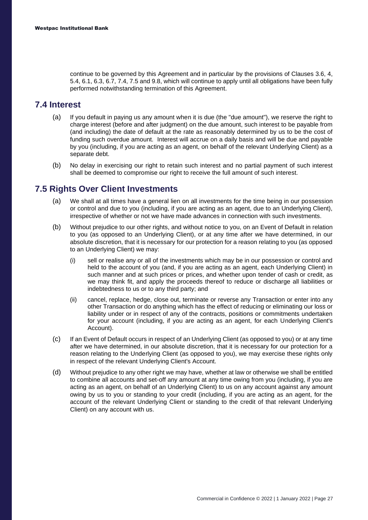continue to be governed by this Agreement and in particular by the provisions of Clauses 3.6, 4, 5.4, 6.1, 6.3, 6.7, 7.4, 7.5 and 9.8, which will continue to apply until all obligations have been fully performed notwithstanding termination of this Agreement.

#### **7.4 Interest**

- (a) If you default in paying us any amount when it is due (the "due amount"), we reserve the right to charge interest (before and after judgment) on the due amount, such interest to be payable from (and including) the date of default at the rate as reasonably determined by us to be the cost of funding such overdue amount. Interest will accrue on a daily basis and will be due and payable by you (including, if you are acting as an agent, on behalf of the relevant Underlying Client) as a separate debt.
- (b) No delay in exercising our right to retain such interest and no partial payment of such interest shall be deemed to compromise our right to receive the full amount of such interest.

#### **7.5 Rights Over Client Investments**

- (a) We shall at all times have a general lien on all investments for the time being in our possession or control and due to you (including, if you are acting as an agent, due to an Underlying Client), irrespective of whether or not we have made advances in connection with such investments.
- (b) Without prejudice to our other rights, and without notice to you, on an Event of Default in relation to you (as opposed to an Underlying Client), or at any time after we have determined, in our absolute discretion, that it is necessary for our protection for a reason relating to you (as opposed to an Underlying Client) we may:
	- (i) sell or realise any or all of the investments which may be in our possession or control and held to the account of you (and, if you are acting as an agent, each Underlying Client) in such manner and at such prices or prices, and whether upon tender of cash or credit, as we may think fit, and apply the proceeds thereof to reduce or discharge all liabilities or indebtedness to us or to any third party; and
	- (ii) cancel, replace, hedge, close out, terminate or reverse any Transaction or enter into any other Transaction or do anything which has the effect of reducing or eliminating our loss or liability under or in respect of any of the contracts, positions or commitments undertaken for your account (including, if you are acting as an agent, for each Underlying Client's Account).
- (c) If an Event of Default occurs in respect of an Underlying Client (as opposed to you) or at any time after we have determined, in our absolute discretion, that it is necessary for our protection for a reason relating to the Underlying Client (as opposed to you), we may exercise these rights only in respect of the relevant Underlying Client's Account.
- (d) Without prejudice to any other right we may have, whether at law or otherwise we shall be entitled to combine all accounts and set-off any amount at any time owing from you (including, if you are acting as an agent, on behalf of an Underlying Client) to us on any account against any amount owing by us to you or standing to your credit (including, if you are acting as an agent, for the account of the relevant Underlying Client or standing to the credit of that relevant Underlying Client) on any account with us.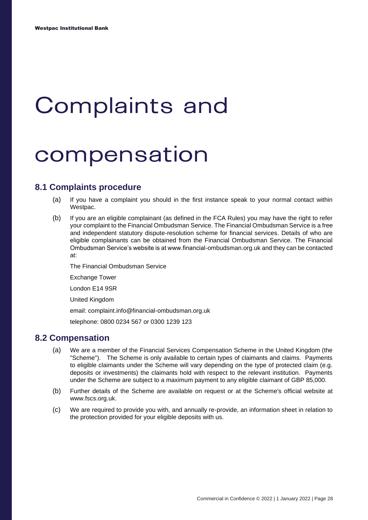### <span id="page-29-0"></span>**Complaints and**

### compensation

#### **8.1 Complaints procedure**

- (a) If you have a complaint you should in the first instance speak to your normal contact within Westpac.
- (b) If you are an eligible complainant (as defined in the FCA Rules) you may have the right to refer your complaint to the Financial Ombudsman Service. The Financial Ombudsman Service is a free and independent statutory dispute-resolution scheme for financial services. Details of who are eligible complainants can be obtained from the Financial Ombudsman Service. The Financial Ombudsman Service's website is at www.financial-ombudsman.org.uk and they can be contacted at:

The Financial Ombudsman Service

Exchange Tower

London E14 9SR

United Kingdom

email: complaint.info@financial-ombudsman.org.uk

telephone: 0800 0234 567 or 0300 1239 123

#### **8.2 Compensation**

- (a) We are a member of the Financial Services Compensation Scheme in the United Kingdom (the "Scheme"). The Scheme is only available to certain types of claimants and claims. Payments to eligible claimants under the Scheme will vary depending on the type of protected claim (e.g. deposits or investments) the claimants hold with respect to the relevant institution. Payments under the Scheme are subject to a maximum payment to any eligible claimant of GBP 85,000.
- (b) Further details of the Scheme are available on request or at the Scheme's official website at www.fscs.org.uk.
- (c) We are required to provide you with, and annually re-provide, an information sheet in relation to the protection provided for your eligible deposits with us.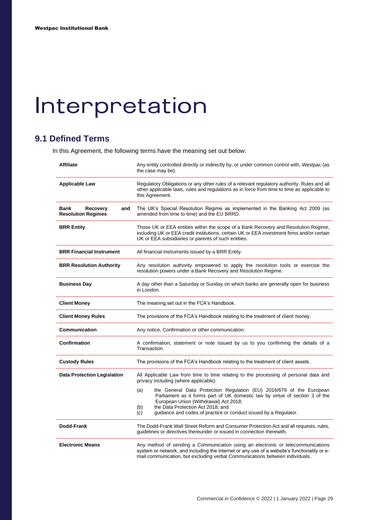## <span id="page-30-0"></span>Interpretation

#### **9.1 Defined Terms**

In this Agreement, the following terms have the meaning set out below:

| <b>Affiliate</b>                                            | Any entity controlled directly or indirectly by, or under common control with, Westpac (as<br>the case may be).                                                                                                                                                                                                             |  |  |
|-------------------------------------------------------------|-----------------------------------------------------------------------------------------------------------------------------------------------------------------------------------------------------------------------------------------------------------------------------------------------------------------------------|--|--|
| <b>Applicable Law</b>                                       | Regulatory Obligations or any other rules of a relevant regulatory authority, Rules and all<br>other applicable laws, rules and regulations as in force from time to time as applicable to<br>this Agreement.                                                                                                               |  |  |
| Bank<br><b>Recovery</b><br>and<br><b>Resolution Regimes</b> | The UK's Special Resolution Regime as implemented in the Banking Act 2009 (as<br>amended from time to time) and the EU BRRD.                                                                                                                                                                                                |  |  |
| <b>BRR Entity</b>                                           | Those UK or EEA entities within the scope of a Bank Recovery and Resolution Regime,<br>including UK or EEA credit institutions, certain UK or EEA investment firms and/or certain<br>UK or EEA subsidiaries or parents of such entities.                                                                                    |  |  |
| <b>BRR Financial Instrument</b>                             | All financial instruments issued by a BRR Entity.                                                                                                                                                                                                                                                                           |  |  |
| <b>BRR Resolution Authority</b>                             | Any resolution authority empowered to apply the resolution tools or exercise the<br>resolution powers under a Bank Recovery and Resolution Regime.                                                                                                                                                                          |  |  |
| <b>Business Day</b>                                         | A day other than a Saturday or Sunday on which banks are generally open for business<br>in London.                                                                                                                                                                                                                          |  |  |
| <b>Client Money</b>                                         | The meaning set out in the FCA's Handbook.                                                                                                                                                                                                                                                                                  |  |  |
| <b>Client Money Rules</b>                                   | The provisions of the FCA's Handbook relating to the treatment of client money.                                                                                                                                                                                                                                             |  |  |
| Communication                                               | Any notice, Confirmation or other communication.                                                                                                                                                                                                                                                                            |  |  |
| Confirmation                                                | A confirmation, statement or note issued by us to you confirming the details of a<br>Transaction.                                                                                                                                                                                                                           |  |  |
| <b>Custody Rules</b>                                        | The provisions of the FCA's Handbook relating to the treatment of client assets.                                                                                                                                                                                                                                            |  |  |
| <b>Data Protection Legislation</b>                          | All Applicable Law from time to time relating to the processing of personal data and<br>privacy including (where applicable):                                                                                                                                                                                               |  |  |
|                                                             | the General Data Protection Regulation (EU) 2016/679 of the European<br>(a)<br>Parliament as it forms part of UK domestic law by virtue of section 3 of the<br>European Union (Withdrawal) Act 2018;<br>the Data Protection Act 2018; and<br>(b)<br>guidance and codes of practice or conduct issued by a Regulator.<br>(c) |  |  |
| Dodd-Frank                                                  | The Dodd-Frank Wall Street Reform and Consumer Protection Act and all requests, rules,<br>guidelines or directives thereunder or issued in connection therewith.                                                                                                                                                            |  |  |
| <b>Electronic Means</b>                                     | Any method of sending a Communication using an electronic or telecommunications<br>system or network, and including the internet or any use of a website's functionality or e-<br>mail communication, but excluding verbal Communications between individuals.                                                              |  |  |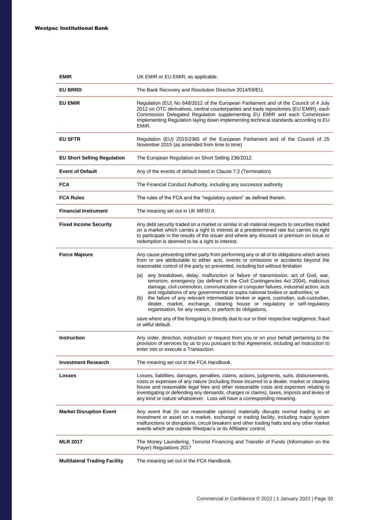| EMIR                                 | UK EMIR or EU EMIR, as applicable.                                                                                                                                                                                                                                                                                                                                                                                                                                                                                                                                                           |  |  |  |
|--------------------------------------|----------------------------------------------------------------------------------------------------------------------------------------------------------------------------------------------------------------------------------------------------------------------------------------------------------------------------------------------------------------------------------------------------------------------------------------------------------------------------------------------------------------------------------------------------------------------------------------------|--|--|--|
| <b>EU BRRD</b>                       | The Bank Recovery and Resolution Directive 2014/59/EU,                                                                                                                                                                                                                                                                                                                                                                                                                                                                                                                                       |  |  |  |
| <b>EU EMIR</b>                       | Regulation (EU) No 648/2012 of the European Parliament and of the Council of 4 July<br>2012 on OTC derivatives, central counterparties and trade repositories (EU EMIR), each<br>Commission Delegated Regulation supplementing EU EMIR and each Commission<br>Implementing Regulation laying down implementing technical standards according to EU<br>EMIR.                                                                                                                                                                                                                                  |  |  |  |
| <b>EU SFTR</b>                       | Regulation (EU) 2015/2365 of the European Parliament and of the Council of 25<br>November 2015 (as amended from time to time)                                                                                                                                                                                                                                                                                                                                                                                                                                                                |  |  |  |
| <b>EU Short Selling Regulation</b>   | The European Regulation on Short Selling 236/2012.                                                                                                                                                                                                                                                                                                                                                                                                                                                                                                                                           |  |  |  |
| <b>Event of Default</b>              | Any of the events of default listed in Clause 7.2 (Termination).                                                                                                                                                                                                                                                                                                                                                                                                                                                                                                                             |  |  |  |
| FCA                                  | The Financial Conduct Authority, including any successor authority                                                                                                                                                                                                                                                                                                                                                                                                                                                                                                                           |  |  |  |
| <b>FCA Rules</b>                     | The rules of the FCA and the "regulatory system" as defined therein.                                                                                                                                                                                                                                                                                                                                                                                                                                                                                                                         |  |  |  |
| <b>Financial Instrument</b>          | The meaning set out in UK MiFID II.                                                                                                                                                                                                                                                                                                                                                                                                                                                                                                                                                          |  |  |  |
| <b>Fixed Income Security</b>         | Any debt security traded on a market or similar in all material respects to securities traded<br>on a market which carries a right to interest at a predetermined rate but carries no right<br>to participate in the results of the issuer and where any discount or premium on issue or<br>redemption is deemed to be a right to interest.                                                                                                                                                                                                                                                  |  |  |  |
| <b>Force Majeure</b>                 | Any cause preventing either party from performing any or all of its obligations which arises<br>from or are attributable to either acts, events or omissions or accidents beyond the<br>reasonable control of the party so prevented, including but without limitation                                                                                                                                                                                                                                                                                                                       |  |  |  |
|                                      | any breakdown, delay, malfunction or failure of transmission, act of God, war,<br>(a)<br>terrorism, emergency (as defined in the Civil Contingencies Act 2004), malicious<br>damage, civil commotion, communication or computer failures, industrial action, acts<br>and regulations of any governmental or supra national bodies or authorities; or<br>the failure of any relevant intermediate broker or agent, custodian, sub-custodian,<br>(b)<br>dealer, market, exchange, clearing house or regulatory or self-regulatory<br>organisation, for any reason, to perform its obligations, |  |  |  |
|                                      | save where any of the foregoing is directly due to our or their respective negligence, fraud<br>or wilful default.                                                                                                                                                                                                                                                                                                                                                                                                                                                                           |  |  |  |
| <b>Instruction</b>                   | Any order, direction, instruction or request from you or on your behalf pertaining to the<br>provision of services by us to you pursuant to this Agreement, including an instruction to<br>enter into or execute a Transaction.                                                                                                                                                                                                                                                                                                                                                              |  |  |  |
| <b>Investment Research</b>           | The meaning set out in the FCA Handbook.                                                                                                                                                                                                                                                                                                                                                                                                                                                                                                                                                     |  |  |  |
| Losses                               | Losses, liabilities, damages, penalties, claims, actions, judgments, suits, disbursements,<br>costs or expenses of any nature (including those incurred to a dealer, market or clearing<br>house and reasonable legal fees and other reasonable costs and expenses relating to<br>investigating or defending any demands, charges or claims), taxes, imposts and levies of<br>any kind or nature whatsoever. Loss will have a corresponding meaning.                                                                                                                                         |  |  |  |
| <b>Market Disruption Event</b>       | Any event that (in our reasonable opinion) materially disrupts normal trading in an<br>investment or asset on a market, exchange or trading facility, including major system<br>malfunctions or disruptions, circuit breakers and other trading halts and any other market<br>events which are outside Westpac's or its Affiliates' control.                                                                                                                                                                                                                                                 |  |  |  |
| <b>MLR 2017</b>                      | The Money Laundering, Terrorist Financing and Transfer of Funds (Information on the<br>Payer) Regulations 2017                                                                                                                                                                                                                                                                                                                                                                                                                                                                               |  |  |  |
| <b>Multilateral Trading Facility</b> | The meaning set out in the FCA Handbook.                                                                                                                                                                                                                                                                                                                                                                                                                                                                                                                                                     |  |  |  |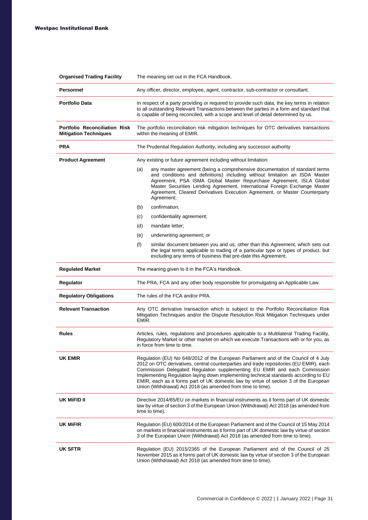| <b>Organised Trading Facility</b>                                    | The meaning set out in the FCA Handbook.                                                                                                                                                                                                                                                                                                                                                                                                                                                                   |  |  |
|----------------------------------------------------------------------|------------------------------------------------------------------------------------------------------------------------------------------------------------------------------------------------------------------------------------------------------------------------------------------------------------------------------------------------------------------------------------------------------------------------------------------------------------------------------------------------------------|--|--|
| Personnel                                                            | Any officer, director, employee, agent, contractor, sub-contractor or consultant.                                                                                                                                                                                                                                                                                                                                                                                                                          |  |  |
| <b>Portfolio Data</b>                                                | In respect of a party providing or required to provide such data, the key terms in relation<br>to all outstanding Relevant Transactions between the parties in a form and standard that<br>is capable of being reconciled, with a scope and level of detail determined by us.                                                                                                                                                                                                                              |  |  |
| <b>Portfolio Reconciliation Risk</b><br><b>Mitigation Techniques</b> | The portfolio reconciliation risk mitigation techniques for OTC derivatives transactions<br>within the meaning of EMIR.                                                                                                                                                                                                                                                                                                                                                                                    |  |  |
| <b>PRA</b>                                                           | The Prudential Regulation Authority, including any successor authority                                                                                                                                                                                                                                                                                                                                                                                                                                     |  |  |
| <b>Product Agreement</b>                                             | Any existing or future agreement including without limitation:                                                                                                                                                                                                                                                                                                                                                                                                                                             |  |  |
|                                                                      | any master agreement (being a comprehensive documentation of standard terms<br>(a)<br>and conditions and definitions) including without limitation an ISDA Master<br>Agreement, PSA ISMA Global Master Repurchase Agreement, ISLA Global<br>Master Securities Lending Agreement, International Foreign Exchange Master<br>Agreement, Cleared Derivatives Execution Agreement, or Master Counterparty<br>Agreement;                                                                                         |  |  |
|                                                                      | (b)<br>confirmation;                                                                                                                                                                                                                                                                                                                                                                                                                                                                                       |  |  |
|                                                                      | (c)<br>confidentiality agreement;                                                                                                                                                                                                                                                                                                                                                                                                                                                                          |  |  |
|                                                                      | (d)<br>mandate letter;                                                                                                                                                                                                                                                                                                                                                                                                                                                                                     |  |  |
|                                                                      | (e)<br>underwriting agreement; or                                                                                                                                                                                                                                                                                                                                                                                                                                                                          |  |  |
|                                                                      | (f)<br>similar document between you and us, other than this Agreement, which sets out<br>the legal terms applicable to trading of a particular type or types of product, but<br>excluding any terms of business that pre-date this Agreement.                                                                                                                                                                                                                                                              |  |  |
| <b>Regulated Market</b>                                              | The meaning given to it in the FCA's Handbook.                                                                                                                                                                                                                                                                                                                                                                                                                                                             |  |  |
| Regulator                                                            | The PRA, FCA and any other body responsible for promulgating an Applicable Law.                                                                                                                                                                                                                                                                                                                                                                                                                            |  |  |
| <b>Regulatory Obligations</b>                                        | The rules of the FCA and/or PRA.                                                                                                                                                                                                                                                                                                                                                                                                                                                                           |  |  |
| <b>Relevant Transaction</b>                                          | Any OTC derivative transaction which is subject to the Portfolio Reconciliation Risk<br>Mitigation Techniques and/or the Dispute Resolution Risk Mitigation Techniques under<br>EMIR.                                                                                                                                                                                                                                                                                                                      |  |  |
| <b>Rules</b>                                                         | Articles, rules, regulations and procedures applicable to a Multilateral Trading Facility,<br>Regulatory Market or other market on which we execute Transactions with or for you, as<br>in force from time to time.                                                                                                                                                                                                                                                                                        |  |  |
| UK EMIR                                                              | Regulation (EU) No 648/2012 of the European Parliament and of the Council of 4 July<br>2012 on OTC derivatives, central counterparties and trade repositories (EU EMIR), each<br>Commission Delegated Regulation supplementing EU EMIR and each Commission<br>Implementing Regulation laying down implementing technical standards according to EU<br>EMIR, each as it forms part of UK domestic law by virtue of section 3 of the European<br>Union (Withdrawal) Act 2018 (as amended from time to time). |  |  |
| UK MIFID II                                                          | Directive 2014/65/EU on markets in financial instruments as it forms part of UK domestic<br>law by virtue of section 3 of the European Union (Withdrawal) Act 2018 (as amended from<br>time to time).                                                                                                                                                                                                                                                                                                      |  |  |
| <b>UK MIFIR</b>                                                      | Regulation (EU) 600/2014 of the European Parliament and of the Council of 15 May 2014<br>on markets in financial instruments as it forms part of UK domestic law by virtue of section<br>3 of the European Union (Withdrawal) Act 2018 (as amended from time to time).                                                                                                                                                                                                                                     |  |  |
| UK SFTR                                                              | Regulation (EU) 2015/2365 of the European Parliament and of the Council of 25<br>November 2015 as it forms part of UK domestic law by virtue of section 3 of the European<br>Union (Withdrawal) Act 2018 (as amended from time to time).                                                                                                                                                                                                                                                                   |  |  |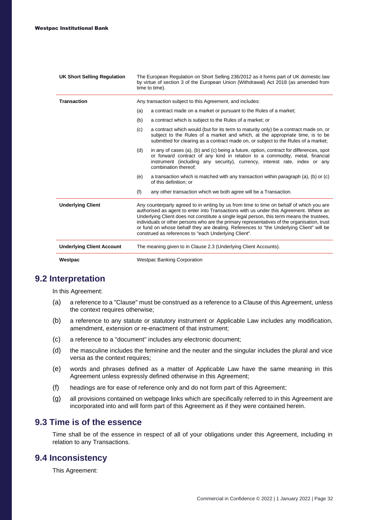| <b>UK Short Selling Regulation</b> | The European Regulation on Short Selling 236/2012 as it forms part of UK domestic law<br>by virtue of section 3 of the European Union (Withdrawal) Act 2018 (as amended from<br>time to time).                                                                                                                                                                                                                                                                                                                                    |                                                                                                                                                                                                                                                                               |  |
|------------------------------------|-----------------------------------------------------------------------------------------------------------------------------------------------------------------------------------------------------------------------------------------------------------------------------------------------------------------------------------------------------------------------------------------------------------------------------------------------------------------------------------------------------------------------------------|-------------------------------------------------------------------------------------------------------------------------------------------------------------------------------------------------------------------------------------------------------------------------------|--|
| <b>Transaction</b>                 |                                                                                                                                                                                                                                                                                                                                                                                                                                                                                                                                   | Any transaction subject to this Agreement, and includes:                                                                                                                                                                                                                      |  |
|                                    | (a)                                                                                                                                                                                                                                                                                                                                                                                                                                                                                                                               | a contract made on a market or pursuant to the Rules of a market;                                                                                                                                                                                                             |  |
|                                    | (b)                                                                                                                                                                                                                                                                                                                                                                                                                                                                                                                               | a contract which is subject to the Rules of a market; or                                                                                                                                                                                                                      |  |
|                                    | (c)                                                                                                                                                                                                                                                                                                                                                                                                                                                                                                                               | a contract which would (but for its term to maturity only) be a contract made on, or<br>subject to the Rules of a market and which, at the appropriate time, is to be<br>submitted for clearing as a contract made on, or subject to the Rules of a market;                   |  |
|                                    | (d)                                                                                                                                                                                                                                                                                                                                                                                                                                                                                                                               | in any of cases (a), (b) and (c) being a future, option, contract for differences, spot<br>or forward contract of any kind in relation to a commodity, metal, financial<br>instrument (including any security), currency, interest rate, index or any<br>combination thereof: |  |
|                                    | (e)                                                                                                                                                                                                                                                                                                                                                                                                                                                                                                                               | a transaction which is matched with any transaction within paragraph (a), (b) or (c)<br>of this definition; or                                                                                                                                                                |  |
|                                    | (f)                                                                                                                                                                                                                                                                                                                                                                                                                                                                                                                               | any other transaction which we both agree will be a Transaction.                                                                                                                                                                                                              |  |
| <b>Underlying Client</b>           | Any counterparty agreed to in writing by us from time to time on behalf of which you are<br>authorised as agent to enter into Transactions with us under this Agreement. Where an<br>Underlying Client does not constitute a single legal person, this term means the trustees,<br>individuals or other persons who are the primary representatives of the organisation, trust<br>or fund on whose behalf they are dealing. References to "the Underlying Client" will be<br>construed as references to "each Underlying Client". |                                                                                                                                                                                                                                                                               |  |
| <b>Underlying Client Account</b>   |                                                                                                                                                                                                                                                                                                                                                                                                                                                                                                                                   | The meaning given to in Clause 2.3 (Underlying Client Accounts).                                                                                                                                                                                                              |  |
| Westpac                            |                                                                                                                                                                                                                                                                                                                                                                                                                                                                                                                                   | <b>Westpac Banking Corporation</b>                                                                                                                                                                                                                                            |  |

#### **9.2 Interpretation**

In this Agreement:

- (a) a reference to a "Clause" must be construed as a reference to a Clause of this Agreement, unless the context requires otherwise;
- (b) a reference to any statute or statutory instrument or Applicable Law includes any modification, amendment, extension or re-enactment of that instrument;
- (c) a reference to a "document" includes any electronic document;
- (d) the masculine includes the feminine and the neuter and the singular includes the plural and vice versa as the context requires;
- (e) words and phrases defined as a matter of Applicable Law have the same meaning in this Agreement unless expressly defined otherwise in this Agreement;
- (f) headings are for ease of reference only and do not form part of this Agreement;
- (g) all provisions contained on webpage links which are specifically referred to in this Agreement are incorporated into and will form part of this Agreement as if they were contained herein.

#### **9.3 Time is of the essence**

Time shall be of the essence in respect of all of your obligations under this Agreement, including in relation to any Transactions.

#### **9.4 Inconsistency**

This Agreement: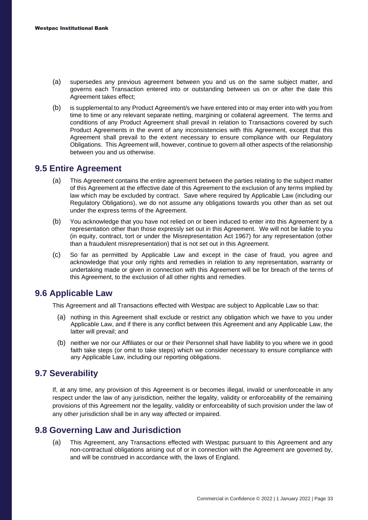- (a) supersedes any previous agreement between you and us on the same subject matter, and governs each Transaction entered into or outstanding between us on or after the date this Agreement takes effect;
- (b) is supplemental to any Product Agreement/s we have entered into or may enter into with you from time to time or any relevant separate netting, margining or collateral agreement. The terms and conditions of any Product Agreement shall prevail in relation to Transactions covered by such Product Agreements in the event of any inconsistencies with this Agreement, except that this Agreement shall prevail to the extent necessary to ensure compliance with our Regulatory Obligations. This Agreement will, however, continue to govern all other aspects of the relationship between you and us otherwise.

#### **9.5 Entire Agreement**

- (a) This Agreement contains the entire agreement between the parties relating to the subject matter of this Agreement at the effective date of this Agreement to the exclusion of any terms implied by law which may be excluded by contract. Save where required by Applicable Law (including our Regulatory Obligations), we do not assume any obligations towards you other than as set out under the express terms of the Agreement.
- (b) You acknowledge that you have not relied on or been induced to enter into this Agreement by a representation other than those expressly set out in this Agreement. We will not be liable to you (in equity, contract, tort or under the Misrepresentation Act 1967) for any representation (other than a fraudulent misrepresentation) that is not set out in this Agreement.
- (c) So far as permitted by Applicable Law and except in the case of fraud, you agree and acknowledge that your only rights and remedies in relation to any representation, warranty or undertaking made or given in connection with this Agreement will be for breach of the terms of this Agreement, to the exclusion of all other rights and remedies.

#### **9.6 Applicable Law**

This Agreement and all Transactions effected with Westpac are subject to Applicable Law so that:

- (a) nothing in this Agreement shall exclude or restrict any obligation which we have to you under Applicable Law, and if there is any conflict between this Agreement and any Applicable Law, the latter will prevail; and
- (b) neither we nor our Affiliates or our or their Personnel shall have liability to you where we in good faith take steps (or omit to take steps) which we consider necessary to ensure compliance with any Applicable Law, including our reporting obligations.

#### **9.7 Severability**

If, at any time, any provision of this Agreement is or becomes illegal, invalid or unenforceable in any respect under the law of any jurisdiction, neither the legality, validity or enforceability of the remaining provisions of this Agreement nor the legality, validity or enforceability of such provision under the law of any other jurisdiction shall be in any way affected or impaired.

#### **9.8 Governing Law and Jurisdiction**

(a) This Agreement, any Transactions effected with Westpac pursuant to this Agreement and any non-contractual obligations arising out of or in connection with the Agreement are governed by, and will be construed in accordance with, the laws of England.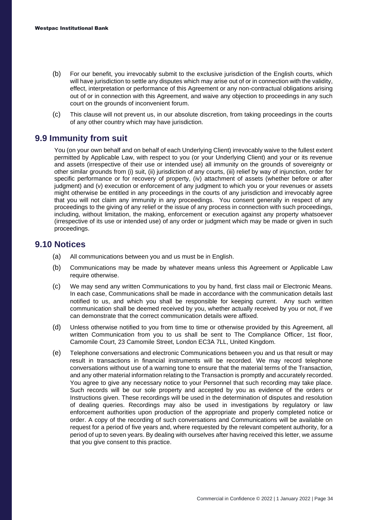- (b) For our benefit, you irrevocably submit to the exclusive jurisdiction of the English courts, which will have jurisdiction to settle any disputes which may arise out of or in connection with the validity, effect, interpretation or performance of this Agreement or any non-contractual obligations arising out of or in connection with this Agreement, and waive any objection to proceedings in any such court on the grounds of inconvenient forum.
- (c) This clause will not prevent us, in our absolute discretion, from taking proceedings in the courts of any other country which may have jurisdiction.

#### **9.9 Immunity from suit**

You (on your own behalf and on behalf of each Underlying Client) irrevocably waive to the fullest extent permitted by Applicable Law, with respect to you (or your Underlying Client) and your or its revenue and assets (irrespective of their use or intended use) all immunity on the grounds of sovereignty or other similar grounds from (i) suit, (ii) jurisdiction of any courts, (iii) relief by way of injunction, order for specific performance or for recovery of property, (iv) attachment of assets (whether before or after judgment) and (v) execution or enforcement of any judgment to which you or your revenues or assets might otherwise be entitled in any proceedings in the courts of any jurisdiction and irrevocably agree that you will not claim any immunity in any proceedings. You consent generally in respect of any proceedings to the giving of any relief or the issue of any process in connection with such proceedings, including, without limitation, the making, enforcement or execution against any property whatsoever (irrespective of its use or intended use) of any order or judgment which may be made or given in such proceedings.

#### **9.10 Notices**

- (a) All communications between you and us must be in English.
- (b) Communications may be made by whatever means unless this Agreement or Applicable Law require otherwise.
- (c) We may send any written Communications to you by hand, first class mail or Electronic Means. In each case, Communications shall be made in accordance with the communication details last notified to us, and which you shall be responsible for keeping current. Any such written communication shall be deemed received by you, whether actually received by you or not, if we can demonstrate that the correct communication details were affixed.
- (d) Unless otherwise notified to you from time to time or otherwise provided by this Agreement, all written Communication from you to us shall be sent to The Compliance Officer, 1st floor, Camomile Court, 23 Camomile Street, London EC3A 7LL, United Kingdom.
- (e) Telephone conversations and electronic Communications between you and us that result or may result in transactions in financial instruments will be recorded. We may record telephone conversations without use of a warning tone to ensure that the material terms of the Transaction, and any other material information relating to the Transaction is promptly and accurately recorded. You agree to give any necessary notice to your Personnel that such recording may take place. Such records will be our sole property and accepted by you as evidence of the orders or Instructions given. These recordings will be used in the determination of disputes and resolution of dealing queries. Recordings may also be used in investigations by regulatory or law enforcement authorities upon production of the appropriate and properly completed notice or order. A copy of the recording of such conversations and Communications will be available on request for a period of five years and, where requested by the relevant competent authority, for a period of up to seven years. By dealing with ourselves after having received this letter, we assume that you give consent to this practice.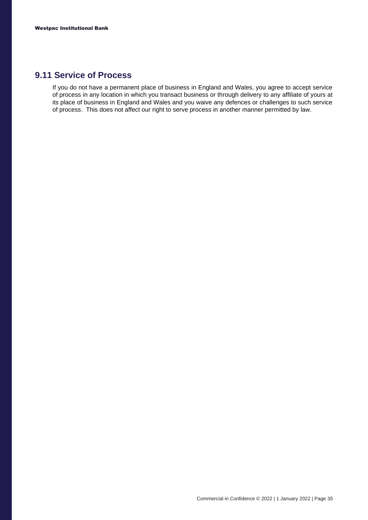#### **9.11 Service of Process**

If you do not have a permanent place of business in England and Wales, you agree to accept service of process in any location in which you transact business or through delivery to any affiliate of yours at its place of business in England and Wales and you waive any defences or challenges to such service of process. This does not affect our right to serve process in another manner permitted by law.